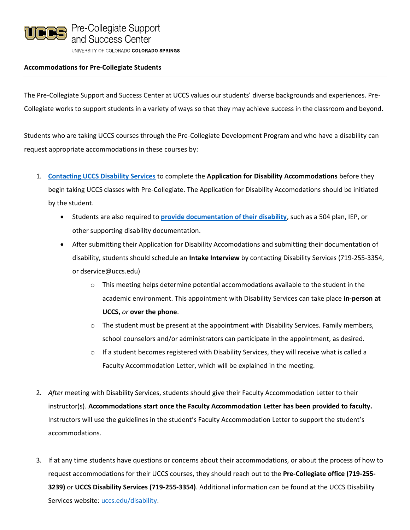

# **Accommodations for Pre-Collegiate Students**

The Pre-Collegiate Support and Success Center at UCCS values our students' diverse backgrounds and experiences. Pre-Collegiate works to support students in a variety of ways so that they may achieve success in the classroom and beyond.

Students who are taking UCCS courses through the Pre-Collegiate Development Program and who have a disability can request appropriate accommodations in these courses by:

- 1. **[Contacting UCCS Disability Services](https://www.uccs.edu/disability/)** to complete the **Application for Disability Accommodations** before they begin taking UCCS classes with Pre-Collegiate. The Application for Disability Accomodations should be initiated by the student.
	- Students are also required to **[provide documentation of their disability](https://www.uccs.edu/disability/students/documentation-guidelines)**, such as a 504 plan, IEP, or other supporting disability documentation.
	- After submitting their Application for Disability Accomodations and submitting their documentation of disability, students should schedule an **Intake Interview** by contacting Disability Services (719-255-3354, or dservice@uccs.edu)
		- $\circ$  This meeting helps determine potential accommodations available to the student in the academic environment. This appointment with Disability Services can take place **in-person at UCCS,** *or* **over the phone**.
		- $\circ$  The student must be present at the appointment with Disability Services. Family members, school counselors and/or administrators can participate in the appointment, as desired.
		- $\circ$  If a student becomes registered with Disability Services, they will receive what is called a Faculty Accommodation Letter, which will be explained in the meeting.
- 2. *After* meeting with Disability Services, students should give their Faculty Accommodation Letter to their instructor(s). **Accommodations start once the Faculty Accommodation Letter has been provided to faculty.** Instructors will use the guidelines in the student's Faculty Accommodation Letter to support the student's accommodations.
- 3. If at any time students have questions or concerns about their accommodations, or about the process of how to request accommodations for their UCCS courses, they should reach out to the **Pre-Collegiate office (719-255- 3239)** or **UCCS Disability Services (719-255-3354)**. Additional information can be found at the UCCS Disability Services website: [uccs.edu/disability.](https://www.uccs.edu/disability/)